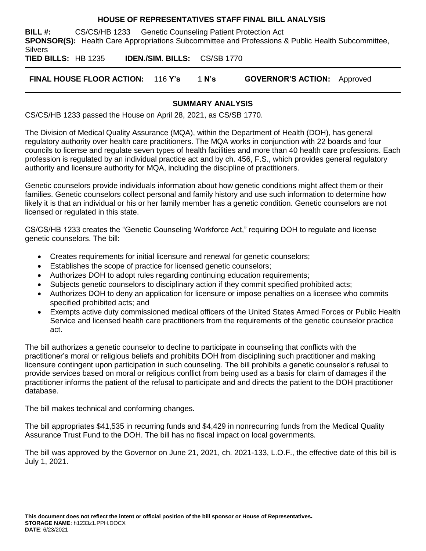#### **HOUSE OF REPRESENTATIVES STAFF FINAL BILL ANALYSIS**

**BILL #:** CS/CS/HB 1233 Genetic Counseling Patient Protection Act **SPONSOR(S):** Health Care Appropriations Subcommittee and Professions & Public Health Subcommittee, **Silvers** 

**TIED BILLS:** HB 1235 **IDEN./SIM. BILLS:** CS/SB 1770

**FINAL HOUSE FLOOR ACTION:** 116 **Y's** 1 **N's GOVERNOR'S ACTION:** Approved

#### **SUMMARY ANALYSIS**

CS/CS/HB 1233 passed the House on April 28, 2021, as CS/SB 1770.

The Division of Medical Quality Assurance (MQA), within the Department of Health (DOH), has general regulatory authority over health care practitioners. The MQA works in conjunction with 22 boards and four councils to license and regulate seven types of health facilities and more than 40 health care professions. Each profession is regulated by an individual practice act and by ch. 456, F.S., which provides general regulatory authority and licensure authority for MQA, including the discipline of practitioners.

Genetic counselors provide individuals information about how genetic conditions might affect them or their families. Genetic counselors collect personal and family history and use such information to determine how likely it is that an individual or his or her family member has a genetic condition. Genetic counselors are not licensed or regulated in this state.

CS/CS/HB 1233 creates the "Genetic Counseling Workforce Act," requiring DOH to regulate and license genetic counselors. The bill:

- Creates requirements for initial licensure and renewal for genetic counselors;
- Establishes the scope of practice for licensed genetic counselors;
- Authorizes DOH to adopt rules regarding continuing education requirements;
- Subjects genetic counselors to disciplinary action if they commit specified prohibited acts;
- Authorizes DOH to deny an application for licensure or impose penalties on a licensee who commits specified prohibited acts; and
- Exempts active duty commissioned medical officers of the United States Armed Forces or Public Health Service and licensed health care practitioners from the requirements of the genetic counselor practice act.

The bill authorizes a genetic counselor to decline to participate in counseling that conflicts with the practitioner's moral or religious beliefs and prohibits DOH from disciplining such practitioner and making licensure contingent upon participation in such counseling. The bill prohibits a genetic counselor's refusal to provide services based on moral or religious conflict from being used as a basis for claim of damages if the practitioner informs the patient of the refusal to participate and and directs the patient to the DOH practitioner database.

The bill makes technical and conforming changes.

The bill appropriates \$41,535 in recurring funds and \$4,429 in nonrecurring funds from the Medical Quality Assurance Trust Fund to the DOH. The bill has no fiscal impact on local governments.

The bill was approved by the Governor on June 21, 2021, ch. 2021-133, L.O.F., the effective date of this bill is July 1, 2021.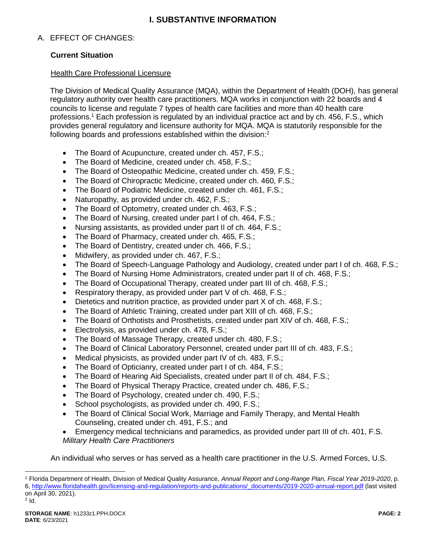# **I. SUBSTANTIVE INFORMATION**

## A. EFFECT OF CHANGES:

### **Current Situation**

#### Health Care Professional Licensure

The Division of Medical Quality Assurance (MQA), within the Department of Health (DOH), has general regulatory authority over health care practitioners. MQA works in conjunction with 22 boards and 4 councils to license and regulate 7 types of health care facilities and more than 40 health care professions.<sup>1</sup> Each profession is regulated by an individual practice act and by ch. 456, F.S., which provides general regulatory and licensure authority for MQA. MQA is statutorily responsible for the following boards and professions established within the division:<sup>2</sup>

- The Board of Acupuncture, created under ch. 457, F.S.;
- The Board of Medicine, created under ch. 458, F.S.;
- The Board of Osteopathic Medicine, created under ch. 459, F.S.;
- The Board of Chiropractic Medicine, created under ch. 460, F.S.;
- The Board of Podiatric Medicine, created under ch. 461, F.S.;
- Naturopathy, as provided under ch. 462, F.S.;
- The Board of Optometry, created under ch. 463, F.S.;
- The Board of Nursing, created under part I of ch. 464, F.S.;
- Nursing assistants, as provided under part II of ch. 464, F.S.;
- The Board of Pharmacy, created under ch. 465, F.S.;
- The Board of Dentistry, created under ch. 466, F.S.;
- Midwifery, as provided under ch. 467, F.S.;
- The Board of Speech-Language Pathology and Audiology, created under part I of ch. 468, F.S.;
- The Board of Nursing Home Administrators, created under part II of ch. 468, F.S.;
- The Board of Occupational Therapy, created under part III of ch. 468, F.S.;
- Respiratory therapy, as provided under part V of ch. 468, F.S.;
- Dietetics and nutrition practice, as provided under part X of ch. 468, F.S.;
- The Board of Athletic Training, created under part XIII of ch. 468, F.S.;
- The Board of Orthotists and Prosthetists, created under part XIV of ch. 468, F.S.;
- Electrolysis, as provided under ch. 478, F.S.;
- The Board of Massage Therapy, created under ch. 480, F.S.;
- The Board of Clinical Laboratory Personnel, created under part III of ch. 483, F.S.;
- Medical physicists, as provided under part IV of ch. 483, F.S.;
- The Board of Opticianry, created under part I of ch. 484, F.S.;
- The Board of Hearing Aid Specialists, created under part II of ch. 484, F.S.;
- The Board of Physical Therapy Practice, created under ch. 486, F.S.;
- The Board of Psychology, created under ch. 490, F.S.;
- School psychologists, as provided under ch. 490, F.S.;
- The Board of Clinical Social Work, Marriage and Family Therapy, and Mental Health Counseling, created under ch. 491, F.S.; and
- Emergency medical technicians and paramedics, as provided under part III of ch. 401, F.S. *Military Health Care Practitioners*

An individual who serves or has served as a health care practitioner in the U.S. Armed Forces, U.S.

<sup>1</sup> Florida Department of Health, Division of Medical Quality Assurance, *Annual Report and Long-Range Plan, Fiscal Year 2019-2020*, p. 6, [http://www.floridahealth.gov/licensing-and-regulation/reports-and-publications/\\_documents/2019-2020-annual-report.pdf](http://www.floridahealth.gov/licensing-and-regulation/reports-and-publications/_documents/2019-2020-annual-report.pdf) (last visited on April 30, 2021).  $2$  Id.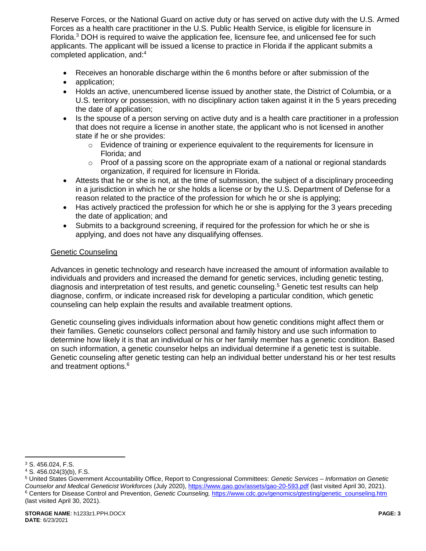Reserve Forces, or the National Guard on active duty or has served on active duty with the U.S. Armed Forces as a health care practitioner in the U.S. Public Health Service, is eligible for licensure in Florida.<sup>3</sup> DOH is required to waive the application fee, licensure fee, and unlicensed fee for such applicants. The applicant will be issued a license to practice in Florida if the applicant submits a completed application, and:<sup>4</sup>

- Receives an honorable discharge within the 6 months before or after submission of the
- application:
- Holds an active, unencumbered license issued by another state, the District of Columbia, or a U.S. territory or possession, with no disciplinary action taken against it in the 5 years preceding the date of application;
- Is the spouse of a person serving on active duty and is a health care practitioner in a profession that does not require a license in another state, the applicant who is not licensed in another state if he or she provides:
	- $\circ$  Evidence of training or experience equivalent to the requirements for licensure in Florida; and
	- $\circ$  Proof of a passing score on the appropriate exam of a national or regional standards organization, if required for licensure in Florida.
- Attests that he or she is not, at the time of submission, the subject of a disciplinary proceeding in a jurisdiction in which he or she holds a license or by the U.S. Department of Defense for a reason related to the practice of the profession for which he or she is applying;
- Has actively practiced the profession for which he or she is applying for the 3 years preceding the date of application; and
- Submits to a background screening, if required for the profession for which he or she is applying, and does not have any disqualifying offenses.

### Genetic Counseling

Advances in genetic technology and research have increased the amount of information available to individuals and providers and increased the demand for genetic services, including genetic testing, diagnosis and interpretation of test results, and genetic counseling.<sup>5</sup> Genetic test results can help diagnose, confirm, or indicate increased risk for developing a particular condition, which genetic counseling can help explain the results and available treatment options.

<span id="page-2-0"></span>Genetic counseling gives individuals information about how genetic conditions might affect them or their families. Genetic counselors collect personal and family history and use such information to determine how likely it is that an individual or his or her family member has a genetic condition. Based on such information, a genetic counselor helps an individual determine if a genetic test is suitable. Genetic counseling after genetic testing can help an individual better understand his or her test results and treatment options.<sup>6</sup>

<sup>3</sup> S. 456.024, F.S.

<sup>4</sup> S. 456.024(3)(b), F.S.

<sup>5</sup> United States Government Accountability Office, Report to Congressional Committees: *Genetic Services – Information on Genetic Counselor and Medical Geneticist Workforces* (July 2020)[, https://www.gao.gov/assets/gao-20-593.pdf](https://www.gao.gov/assets/gao-20-593.pdf) (last visited April 30, 2021). <sup>6</sup> Centers for Disease Control and Prevention, *Genetic Counseling,* [https://www.cdc.gov/genomics/gtesting/genetic\\_counseling.htm](https://www.cdc.gov/genomics/gtesting/genetic_counseling.htm) (last visited April 30, 2021).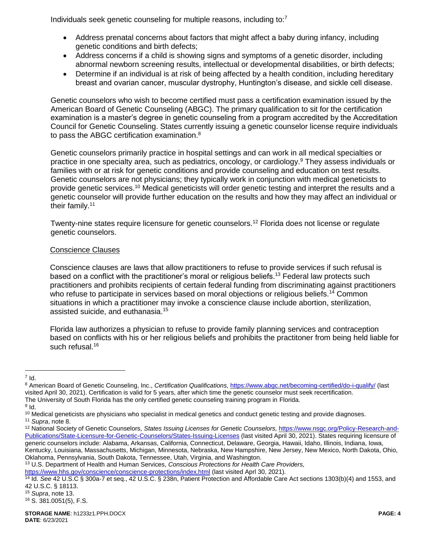Individuals seek genetic counseling for multiple reasons, including to:<sup>7</sup>

- Address prenatal concerns about factors that might affect a baby during infancy, including genetic conditions and birth defects;
- Address concerns if a child is showing signs and symptoms of a genetic disorder, including abnormal newborn screening results, intellectual or developmental disabilities, or birth defects;
- <span id="page-3-0"></span> Determine if an individual is at risk of being affected by a health condition, including hereditary breast and ovarian cancer, muscular dystrophy, Huntington's disease, and sickle cell disease.

Genetic counselors who wish to become certified must pass a certification examination issued by the American Board of Genetic Counseling (ABGC). The primary qualification to sit for the certification examination is a master's degree in genetic counseling from a program accredited by the Accreditation Council for Genetic Counseling. States currently issuing a genetic counselor license require individuals to pass the ABGC certification examination.<sup>8</sup>

Genetic counselors primarily practice in hospital settings and can work in all medical specialties or practice in one specialty area, such as pediatrics, oncology, or cardiology.<sup>9</sup> They assess individuals or families with or at risk for genetic conditions and provide counseling and education on test results. Genetic counselors are not physicians; they typically work in conjunction with medical geneticists to provide genetic services.<sup>10</sup> Medical geneticists will order genetic testing and interpret the results and a genetic counselor will provide further education on the results and how they may affect an individual or their family.<sup>11</sup>

Twenty-nine states require licensure for genetic counselors.<sup>12</sup> Florida does not license or regulate genetic counselors.

## Conscience Clauses

<span id="page-3-1"></span>Conscience clauses are laws that allow practitioners to refuse to provide services if such refusal is based on a conflict with the practitioner's moral or religious beliefs.<sup>13</sup> Federal law protects such practitioners and prohibits recipients of certain federal funding from discriminating against practitioners who refuse to participate in services based on moral objections or religious beliefs.<sup>14</sup> Common situations in which a practitioner may invoke a conscience clause include abortion, sterilization, assisted suicide, and euthanasia.<sup>15</sup>

Florida law authorizes a physician to refuse to provide family planning services and contraception based on conflicts with his or her religious beliefs and prohibits the practitoner from being held liable for such refusal.<sup>16</sup>

<sup>13</sup> U.S. Department of Health and Human Services, *Conscious Protections for Health Care Providers,* 

<https://www.hhs.gov/conscience/conscience-protections/index.html> (last visited Aprl 30, 2021).

 $\overline{a}$  $^7$  Id.

<sup>8</sup> American Board of Genetic Counseling, Inc., *Certification Qualifications,* <https://www.abgc.net/becoming-certified/do-i-qualify/> (last visited April 30, 2021). Certification is valid for 5 years, after which time the genetic counselor must seek recertification. The University of South Florida has the only certified genetic counseling training program in Florida.

 $^9$  Id.

 $10$  Medical geneticists are physicians who specialist in medical genetics and conduct genetic testing and provide diagnoses.

<sup>11</sup> *Supra*, note [8.](#page-3-0)

<sup>&</sup>lt;sup>12</sup> National Society of Genetic Counselors, States Issuing Licenses for Genetic Counselors, [https://www.nsgc.org/Policy-Research-and-](https://www.nsgc.org/Policy-Research-and-Publications/State-Licensure-for-Genetic-Counselors/States-Issuing-Licenses)[Publications/State-Licensure-for-Genetic-Counselors/States-Issuing-Licenses](https://www.nsgc.org/Policy-Research-and-Publications/State-Licensure-for-Genetic-Counselors/States-Issuing-Licenses) (last visited April 30, 2021). States requiring licensure of generic counselors include: Alabama, Arkansas, California, Connecticut, Delaware, Georgia, Hawaii, Idaho, Illinois, Indiana, Iowa, Kentucky, Louisiana, Massachusetts, Michigan, Minnesota, Nebraska, New Hampshire, New Jersey, New Mexico, North Dakota, Ohio, Oklahoma, Pennsylvania, South Dakota, Tennessee, Utah, Virginia, and Washington.

<sup>14</sup> Id. *See* 42 U.S.C § 300a-7 et seq., 42 U.S.C. § 238n, Patient Protection and Affordable Care Act sections 1303(b)(4) and 1553, and 42 U.S.C. § 18113.

<sup>16</sup> S. 381.0051(5), F.S.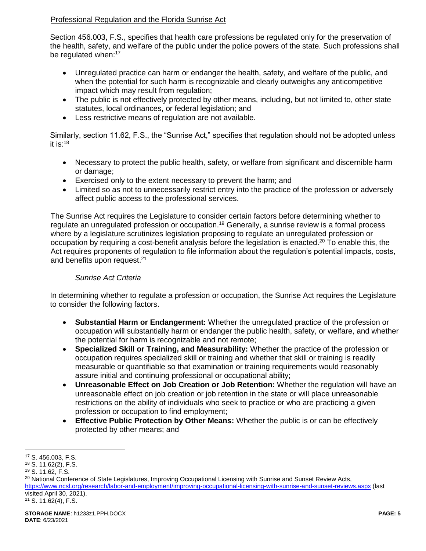## Professional Regulation and the Florida Sunrise Act

Section 456.003, F.S., specifies that health care professions be regulated only for the preservation of the health, safety, and welfare of the public under the police powers of the state. Such professions shall be regulated when:<sup>17</sup>

- Unregulated practice can harm or endanger the health, safety, and welfare of the public, and when the potential for such harm is recognizable and clearly outweighs any anticompetitive impact which may result from regulation;
- The public is not effectively protected by other means, including, but not limited to, other state statutes, local ordinances, or federal legislation; and
- Less restrictive means of regulation are not available.

Similarly, section 11.62, F.S., the "Sunrise Act," specifies that regulation should not be adopted unless it is: $18$ 

- Necessary to protect the public health, safety, or welfare from significant and discernible harm or damage;
- Exercised only to the extent necessary to prevent the harm; and
- Limited so as not to unnecessarily restrict entry into the practice of the profession or adversely affect public access to the professional services.

The Sunrise Act requires the Legislature to consider certain factors before determining whether to regulate an unregulated profession or occupation.<sup>19</sup> Generally, a sunrise review is a formal process where by a legislature scrutinizes legislation proposing to regulate an unregulated profession or occupation by requiring a cost-benefit analysis before the legislation is enacted.<sup>20</sup> To enable this, the Act requires proponents of regulation to file information about the regulation's potential impacts, costs, and benefits upon request.<sup>21</sup>

### *Sunrise Act Criteria*

In determining whether to regulate a profession or occupation, the Sunrise Act requires the Legislature to consider the following factors.

- **Substantial Harm or Endangerment:** Whether the unregulated practice of the profession or occupation will substantially harm or endanger the public health, safety, or welfare, and whether the potential for harm is recognizable and not remote;
- **Specialized Skill or Training, and Measurability:** Whether the practice of the profession or occupation requires specialized skill or training and whether that skill or training is readily measurable or quantifiable so that examination or training requirements would reasonably assure initial and continuing professional or occupational ability;
- **Unreasonable Effect on Job Creation or Job Retention:** Whether the regulation will have an unreasonable effect on job creation or job retention in the state or will place unreasonable restrictions on the ability of individuals who seek to practice or who are practicing a given profession or occupation to find employment;
- **Effective Public Protection by Other Means:** Whether the public is or can be effectively protected by other means; and

<sup>20</sup> National Conference of State Legislatures, Improving Occupational Licensing with Sunrise and Sunset Review Acts, <https://www.ncsl.org/research/labor-and-employment/improving-occupational-licensing-with-sunrise-and-sunset-reviews.aspx> (last visited April 30, 2021).  $21$  S. 11.62(4), F.S.

 $\overline{a}$ <sup>17</sup> S. 456.003, F.S.

<sup>18</sup> S. 11.62(2), F.S.

<sup>19</sup> S. 11.62, F.S.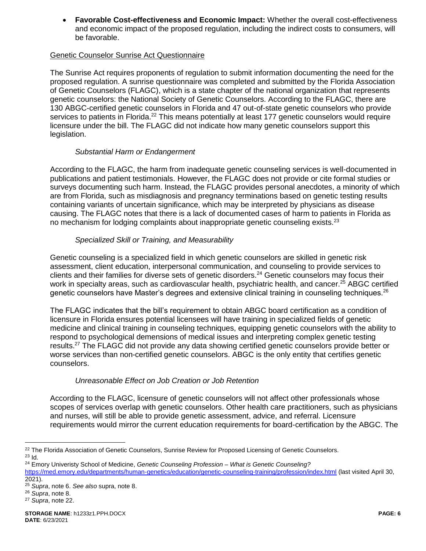**Favorable Cost-effectiveness and Economic Impact:** Whether the overall cost-effectiveness and economic impact of the proposed regulation, including the indirect costs to consumers, will be favorable.

### Genetic Counselor Sunrise Act Questionnaire

The Sunrise Act requires proponents of regulation to submit information documenting the need for the proposed regulation. A sunrise questionnaire was completed and submitted by the Florida Association of Genetic Counselors (FLAGC), which is a state chapter of the national organization that represents genetic counselors: the National Society of Genetic Counselors. According to the FLAGC, there are 130 ABGC-certified genetic counselors in Florida and 47 out-of-state genetic counselors who provide services to patients in Florida.<sup>22</sup> This means potentially at least 177 genetic counselors would require licensure under the bill. The FLAGC did not indicate how many genetic counselors support this legislation.

## <span id="page-5-0"></span>*Substantial Harm or Endangerment*

According to the FLAGC, the harm from inadequate genetic counseling services is well-documented in publications and patient testimonials. However, the FLAGC does not provide or cite formal studies or surveys documenting such harm. Instead, the FLAGC provides personal anecdotes, a minority of which are from Florida, such as misdiagnosis and pregnancy terminations based on genetic testing results containing variants of uncertain significance, which may be interpreted by physicians as disease causing. The FLAGC notes that there is a lack of documented cases of harm to patients in Florida as no mechanism for lodging complaints about inappropriate genetic counseling exists. $2^3$ 

## *Specialized Skill or Training, and Measurability*

Genetic counseling is a specialized field in which genetic counselors are skilled in genetic risk assessment, client education, interpersonal communication, and counseling to provide services to clients and their families for diverse sets of genetic disorders.<sup>24</sup> Genetic counselors may focus their work in specialty areas, such as cardiovascular health, psychiatric health, and cancer.<sup>25</sup> ABGC certified genetic counselors have Master's degrees and extensive clinical training in counseling techniques.<sup>26</sup>

The FLAGC indicates that the bill's requirement to obtain ABGC board certification as a condition of licensure in Florida ensures potential licensees will have training in specialized fields of genetic medicine and clinical training in counseling techniques, equipping genetic counselors with the ability to respond to psychological demensions of medical issues and interpreting complex genetic testing results.<sup>27</sup> The FLAGC did not provide any data showing certified genetic counselors provide better or worse services than non-certified genetic counselors. ABGC is the only entity that certifies genetic counselors.

# *Unreasonable Effect on Job Creation or Job Retention*

According to the FLAGC, licensure of genetic counselors will not affect other professionals whose scopes of services overlap with genetic counselors. Other health care practitioners, such as physicians and nurses, will still be able to provide genetic assessment, advice, and referral. Licensure requirements would mirror the current education requirements for board-certification by the ABGC. The

 $\overline{a}$ <sup>22</sup> The Florida Association of Genetic Counselors, Sunrise Review for Proposed Licensing of Genetic Counselors. <sup>23</sup> Id.

<sup>24</sup> Emory Univeristy School of Medicine, *Genetic Counseling Profession – What is Genetic Counseling?* 

<https://med.emory.edu/departments/human-genetics/education/genetic-counseling-training/profession/index.html> (last visited April 30, 2021).

<sup>25</sup> *Supra*, note [6.](#page-2-0) *See also* supra, note [8.](#page-3-0)

<sup>26</sup> *Supra*, note [8.](#page-3-0)

<sup>27</sup> *Supra*, note [22.](#page-5-0)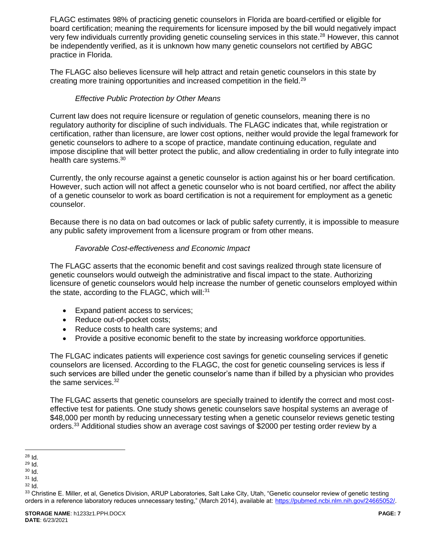FLAGC estimates 98% of practicing genetic counselors in Florida are board-certified or eligible for board certification; meaning the requirements for licensure imposed by the bill would negatively impact very few individuals currently providing genetic counseling services in this state.<sup>28</sup> However, this cannot be independently verified, as it is unknown how many genetic counselors not certified by ABGC practice in Florida.

The FLAGC also believes licensure will help attract and retain genetic counselors in this state by creating more training opportunities and increased competition in the field.<sup>29</sup>

### *Effective Public Protection by Other Means*

Current law does not require licensure or regulation of genetic counselors, meaning there is no regulatory authority for discipline of such individuals. The FLAGC indicates that, while registration or certification, rather than licensure, are lower cost options, neither would provide the legal framework for genetic counselors to adhere to a scope of practice, mandate continuing education, regulate and impose discipline that will better protect the public, and allow credentialing in order to fully integrate into health care systems.<sup>30</sup>

Currently, the only recourse against a genetic counselor is action against his or her board certification. However, such action will not affect a genetic counselor who is not board certified, nor affect the ability of a genetic counselor to work as board certification is not a requirement for employment as a genetic counselor.

Because there is no data on bad outcomes or lack of public safety currently, it is impossible to measure any public safety improvement from a licensure program or from other means.

### *Favorable Cost-effectiveness and Economic Impact*

The FLAGC asserts that the economic benefit and cost savings realized through state licensure of genetic counselors would outweigh the administrative and fiscal impact to the state. Authorizing licensure of genetic counselors would help increase the number of genetic counselors employed within the state, according to the FLAGC, which will:<sup>31</sup>

- Expand patient access to services;
- Reduce out-of-pocket costs;
- Reduce costs to health care systems; and
- Provide a positive economic benefit to the state by increasing workforce opportunities.

The FLGAC indicates patients will experience cost savings for genetic counseling services if genetic counselors are licensed. According to the FLAGC, the cost for genetic counseling services is less if such services are billed under the genetic counselor's name than if billed by a physician who provides the same services.<sup>32</sup>

The FLGAC asserts that genetic counselors are specially trained to identify the correct and most costeffective test for patients. One study shows genetic counselors save hospital systems an average of \$48,000 per month by reducing unnecessary testing when a genetic counselor reviews genetic testing orders.<sup>33</sup> Additional studies show an average cost savings of \$2000 per testing order review by a

 $\overline{a}$  $^{28}$  Id.

<sup>29</sup> Id.

<sup>30</sup> Id.

<sup>31</sup> Id.

<sup>32</sup> Id.

<sup>33</sup> Christine E. Miller, et al, Genetics Division, ARUP Laboratories, Salt Lake City, Utah, "Genetic counselor review of genetic testing orders in a reference laboratory reduces unnecessary testing," (March 2014), available at: [https://pubmed.ncbi.nlm.nih.gov/24665052/.](https://pubmed.ncbi.nlm.nih.gov/24665052/)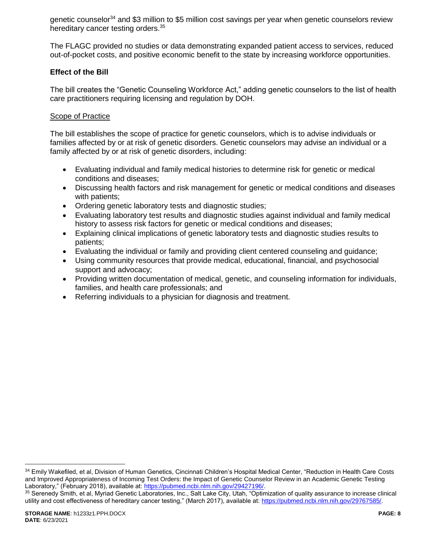genetic counselor<sup>34</sup> and \$3 million to \$5 million cost savings per year when genetic counselors review hereditary cancer testing orders.<sup>35</sup>

The FLAGC provided no studies or data demonstrating expanded patient access to services, reduced out-of-pocket costs, and positive economic benefit to the state by increasing workforce opportunities.

#### **Effect of the Bill**

The bill creates the "Genetic Counseling Workforce Act," adding genetic counselors to the list of health care practitioners requiring licensing and regulation by DOH.

#### Scope of Practice

The bill establishes the scope of practice for genetic counselors, which is to advise individuals or families affected by or at risk of genetic disorders. Genetic counselors may advise an individual or a family affected by or at risk of genetic disorders, including:

- Evaluating individual and family medical histories to determine risk for genetic or medical conditions and diseases;
- Discussing health factors and risk management for genetic or medical conditions and diseases with patients;
- Ordering genetic laboratory tests and diagnostic studies;
- Evaluating laboratory test results and diagnostic studies against individual and family medical history to assess risk factors for genetic or medical conditions and diseases;
- Explaining clinical implications of genetic laboratory tests and diagnostic studies results to patients;
- Evaluating the individual or family and providing client centered counseling and guidance;
- Using community resources that provide medical, educational, financial, and psychosocial support and advocacy;
- Providing written documentation of medical, genetic, and counseling information for individuals, families, and health care professionals; and
- Referring individuals to a physician for diagnosis and treatment.

<sup>34</sup> Emily Wakefiled, et al, Division of Human Genetics, Cincinnati Children's Hospital Medical Center, "Reduction in Health Care Costs and Improved Appropriateness of Incoming Test Orders: the Impact of Genetic Counselor Review in an Academic Genetic Testing Laboratory," (February 2018), available at: [https://pubmed.ncbi.nlm.nih.gov/29427196/.](https://pubmed.ncbi.nlm.nih.gov/29427196/)

<sup>35</sup> Serenedy Smith, et al, Myriad Genetic Laboratories, Inc., Salt Lake City, Utah, "Optimization of quality assurance to increase clinical utility and cost effectiveness of hereditary cancer testing," (March 2017), available at: [https://pubmed.ncbi.nlm.nih.gov/29767585/.](https://pubmed.ncbi.nlm.nih.gov/29767585/)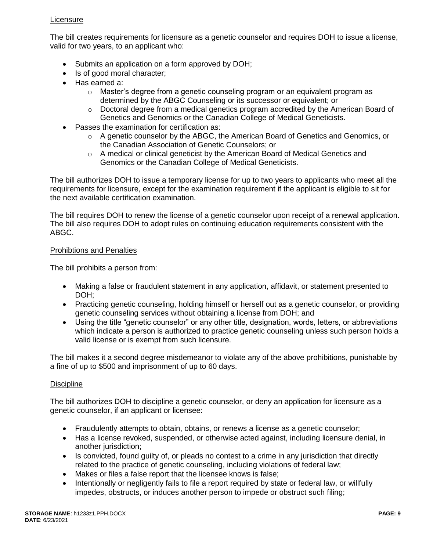### **Licensure**

The bill creates requirements for licensure as a genetic counselor and requires DOH to issue a license, valid for two years, to an applicant who:

- Submits an application on a form approved by DOH;
- Is of good moral character;
- Has earned a:
	- $\circ$  Master's degree from a genetic counseling program or an equivalent program as determined by the ABGC Counseling or its successor or equivalent; or
	- $\circ$  Doctoral degree from a medical genetics program accredited by the American Board of Genetics and Genomics or the Canadian College of Medical Geneticists.
- Passes the examination for certification as:
	- $\circ$  A genetic counselor by the ABGC, the American Board of Genetics and Genomics, or the Canadian Association of Genetic Counselors; or
	- $\circ$  A medical or clinical geneticist by the American Board of Medical Genetics and Genomics or the Canadian College of Medical Geneticists.

The bill authorizes DOH to issue a temporary license for up to two years to applicants who meet all the requirements for licensure, except for the examination requirement if the applicant is eligible to sit for the next available certification examination.

The bill requires DOH to renew the license of a genetic counselor upon receipt of a renewal application. The bill also requires DOH to adopt rules on continuing education requirements consistent with the ABGC.

#### Prohibtions and Penalties

The bill prohibits a person from:

- Making a false or fraudulent statement in any application, affidavit, or statement presented to DOH;
- Practicing genetic counseling, holding himself or herself out as a genetic counselor, or providing genetic counseling services without obtaining a license from DOH; and
- Using the title "genetic counselor" or any other title, designation, words, letters, or abbreviations which indicate a person is authorized to practice genetic counseling unless such person holds a valid license or is exempt from such licensure.

The bill makes it a second degree misdemeanor to violate any of the above prohibitions, punishable by a fine of up to \$500 and imprisonment of up to 60 days.

### **Discipline**

The bill authorizes DOH to discipline a genetic counselor, or deny an application for licensure as a genetic counselor, if an applicant or licensee:

- Fraudulently attempts to obtain, obtains, or renews a license as a genetic counselor;
- Has a license revoked, suspended, or otherwise acted against, including licensure denial, in another jurisdiction;
- Is convicted, found quilty of, or pleads no contest to a crime in any jurisdiction that directly related to the practice of genetic counseling, including violations of federal law;
- Makes or files a false report that the licensee knows is false;
- Intentionally or negligently fails to file a report required by state or federal law, or willfully impedes, obstructs, or induces another person to impede or obstruct such filing;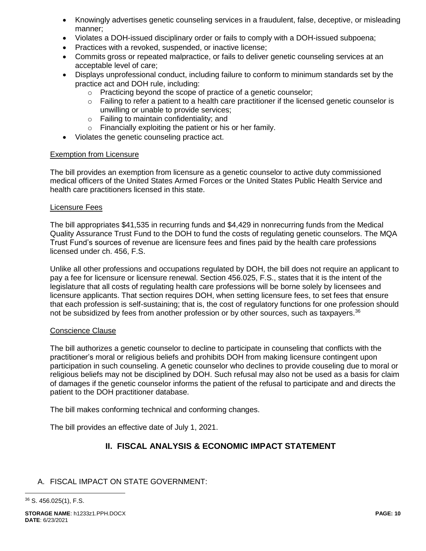- Knowingly advertises genetic counseling services in a fraudulent, false, deceptive, or misleading manner;
- Violates a DOH-issued disciplinary order or fails to comply with a DOH-issued subpoena;
- Practices with a revoked, suspended, or inactive license;
- Commits gross or repeated malpractice, or fails to deliver genetic counseling services at an acceptable level of care;
- Displays unprofessional conduct, including failure to conform to minimum standards set by the practice act and DOH rule, including:
	- o Practicing beyond the scope of practice of a genetic counselor;
	- $\circ$  Failing to refer a patient to a health care practitioner if the licensed genetic counselor is unwilling or unable to provide services;
	- o Failing to maintain confidentiality; and
	- o Financially exploiting the patient or his or her family.
- Violates the genetic counseling practice act.

#### Exemption from Licensure

The bill provides an exemption from licensure as a genetic counselor to active duty commissioned medical officers of the United States Armed Forces or the United States Public Health Service and health care practitioners licensed in this state.

#### Licensure Fees

The bill appropriates \$41,535 in recurring funds and \$4,429 in nonrecurring funds from the Medical Quality Assurance Trust Fund to the DOH to fund the costs of regulating genetic counselors. The MQA Trust Fund's sources of revenue are licensure fees and fines paid by the health care professions licensed under ch. 456, F.S.

Unlike all other professions and occupations regulated by DOH, the bill does not require an applicant to pay a fee for licensure or licensure renewal. Section 456.025, F.S., states that it is the intent of the legislature that all costs of regulating health care professions will be borne solely by licensees and licensure applicants. That section requires DOH, when setting licensure fees, to set fees that ensure that each profession is self-sustaining; that is, the cost of regulatory functions for one profession should not be subsidized by fees from another profession or by other sources, such as taxpayers.<sup>36</sup>

### Conscience Clause

The bill authorizes a genetic counselor to decline to participate in counseling that conflicts with the practitioner's moral or religious beliefs and prohibits DOH from making licensure contingent upon participation in such counseling. A genetic counselor who declines to provide couseling due to moral or religious beliefs may not be disciplined by DOH. Such refusal may also not be used as a basis for claim of damages if the genetic counselor informs the patient of the refusal to participate and and directs the patient to the DOH practitioner database.

The bill makes conforming technical and conforming changes.

The bill provides an effective date of July 1, 2021.

# **II. FISCAL ANALYSIS & ECONOMIC IMPACT STATEMENT**

# A. FISCAL IMPACT ON STATE GOVERNMENT:

<sup>36</sup> S. 456.025(1), F.S.